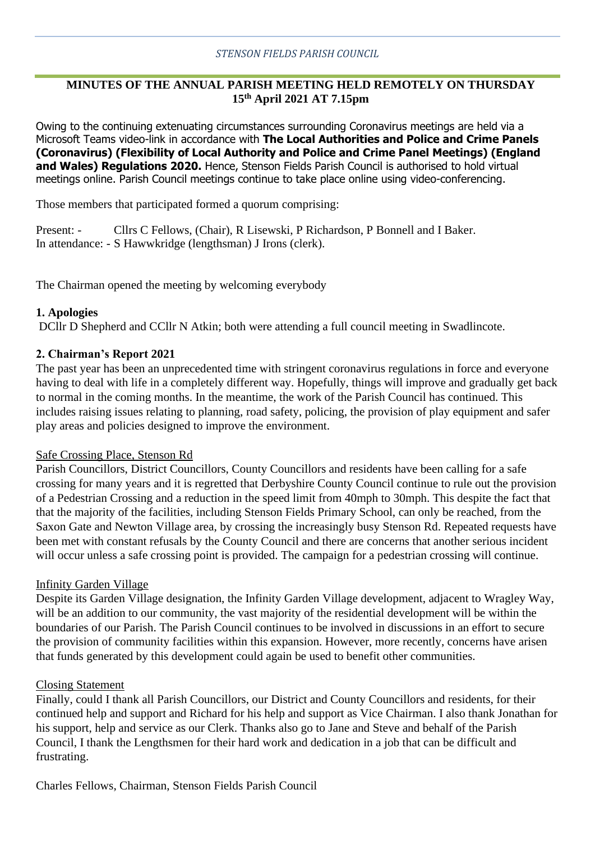# **MINUTES OF THE ANNUAL PARISH MEETING HELD REMOTELY ON THURSDAY 15 th April 2021 AT 7.15pm**

Owing to the continuing extenuating circumstances surrounding Coronavirus meetings are held via a Microsoft Teams video-link in accordance with **The Local Authorities and Police and Crime Panels (Coronavirus) (Flexibility of Local Authority and Police and Crime Panel Meetings) (England and Wales) Regulations 2020.** Hence, Stenson Fields Parish Council is authorised to hold virtual meetings online. Parish Council meetings continue to take place online using video-conferencing.

Those members that participated formed a quorum comprising:

Present: - Cllrs C Fellows, (Chair), R Lisewski, P Richardson, P Bonnell and I Baker. In attendance: - S Hawwkridge (lengthsman) J Irons (clerk).

The Chairman opened the meeting by welcoming everybody

#### **1. Apologies**

DCllr D Shepherd and CCllr N Atkin; both were attending a full council meeting in Swadlincote.

### **2. Chairman's Report 2021**

The past year has been an unprecedented time with stringent coronavirus regulations in force and everyone having to deal with life in a completely different way. Hopefully, things will improve and gradually get back to normal in the coming months. In the meantime, the work of the Parish Council has continued. This includes raising issues relating to planning, road safety, policing, the provision of play equipment and safer play areas and policies designed to improve the environment.

#### Safe Crossing Place, Stenson Rd

Parish Councillors, District Councillors, County Councillors and residents have been calling for a safe crossing for many years and it is regretted that Derbyshire County Council continue to rule out the provision of a Pedestrian Crossing and a reduction in the speed limit from 40mph to 30mph. This despite the fact that that the majority of the facilities, including Stenson Fields Primary School, can only be reached, from the Saxon Gate and Newton Village area, by crossing the increasingly busy Stenson Rd. Repeated requests have been met with constant refusals by the County Council and there are concerns that another serious incident will occur unless a safe crossing point is provided. The campaign for a pedestrian crossing will continue.

### Infinity Garden Village

Despite its Garden Village designation, the Infinity Garden Village development, adjacent to Wragley Way, will be an addition to our community, the vast majority of the residential development will be within the boundaries of our Parish. The Parish Council continues to be involved in discussions in an effort to secure the provision of community facilities within this expansion. However, more recently, concerns have arisen that funds generated by this development could again be used to benefit other communities.

#### Closing Statement

Finally, could I thank all Parish Councillors, our District and County Councillors and residents, for their continued help and support and Richard for his help and support as Vice Chairman. I also thank Jonathan for his support, help and service as our Clerk. Thanks also go to Jane and Steve and behalf of the Parish Council, I thank the Lengthsmen for their hard work and dedication in a job that can be difficult and frustrating.

Charles Fellows, Chairman, Stenson Fields Parish Council